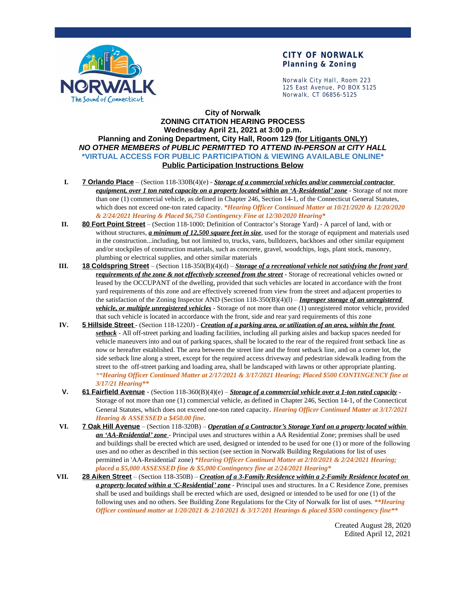

### **CITY OF NORWALK Planning & Zoning**

Norwalk City Hall, Room 223 125 East Avenue, PO BOX 5125 Norwalk, CT 06856-5125

#### **City of Norwalk ZONING CITATION HEARING PROCESS Wednesday April 21, 2021 at 3:00 p.m. Planning and Zoning Department, City Hall, Room 129 (for Litigants ONLY)** *NO OTHER MEMBERS of PUBLIC PERMITTED TO ATTEND IN-PERSON at CITY HALL* **\*VIRTUAL ACCESS FOR PUBLIC PARTICIPATION & VIEWING AVAILABLE ONLINE\* Public Participation Instructions Below**

- **I. 7 Orlando Place** (Section 118-330B(4)(e) *Storage of a commercial vehicles and/or commercial contractor equipment, over 1 ton rated capacity on a property located within an 'A-Residential' zone* - Storage of not more than one (1) commercial vehicle, as defined in Chapter 246, Section 14-1, of the Connecticut General Statutes, which does not exceed one-ton rated capacity. *\*Hearing Officer Continued Matter at 10/21/2020 & 12/20/2020 & 2/24/2021 Hearing & Placed \$6,750 Contingency Fine at 12/30/2020 Hearing\**
- **II. 80 Fort Point Street** (Section 118-1000; Definition of Contractor's Storage Yard) A parcel of land, with or without structures, *a minimum of 12,500 square feet in size*, used for the storage of equipment and materials used in the construction...including, but not limited to, trucks, vans, bulldozers, backhoes and other similar equipment and/or stockpiles of construction materials, such as concrete, gravel, woodchips, logs, plant stock, masonry, plumbing or electrical supplies, and other similar materials
- **III. 18 Coldspring Street** (Section 118-350(B)(4)(d) *Storage of a recreational vehicle not satisfying the front yard requirements of the zone & not effectively screened from the street* - Storage of recreational vehicles owned or leased by the OCCUPANT of the dwelling, provided that such vehicles are located in accordance with the front yard requirements of this zone and are effectively screened from view from the street and adjacent properties to the satisfaction of the Zoning Inspector AND (Section 118-350(B)(4)(l) – *Improper storage of an unregistered vehicle, or multiple unregistered vehicles* - Storage of not more than one (1) unregistered motor vehicle, provided that such vehicle is located in accordance with the front, side and rear yard requirements of this zone
- **IV. 5 Hillside Street** (Section 118-1220J) *Creation of a parking area, or utilization of an area, within the front setback* - All off-street parking and loading facilities, including all parking aisles and backup spaces needed for vehicle maneuvers into and out of parking spaces, shall be located to the rear of the required front setback line as now or hereafter established. The area between the street line and the front setback line, and on a corner lot, the side setback line along a street, except for the required access driveway and pedestrian sidewalk leading from the street to the off-street parking and loading area, shall be landscaped with lawns or other appropriate planting. *\*\*Hearing Officer Continued Matter at 2/17/2021 & 3/17/2021 Hearing; Placed \$500 CONTINGENCY fine at 3/17/21 Hearing\*\**
- **V. 61 Fairfield Avenue** (Section 118-360(B)(4)(e) *Storage of a commercial vehicle over a 1-ton rated capacity* Storage of not more than one (1) commercial vehicle, as defined in Chapter 246, Section 14-1, of the Connecticut General Statutes, which does not exceed one-ton rated capacity. *Hearing Officer Continued Matter at 3/17/2021 Hearing & ASSESSED a \$450.00 fine.*
- **VI. 7 Oak Hill Avenue** (Section 118-320B) *Operation of a Contractor's Storage Yard on a property located within an 'AA-Residential' zone* - Principal uses and structures within a AA Residential Zone; premises shall be used and buildings shall be erected which are used, designed or intended to be used for one (1) or more of the following uses and no other as described in this section (see section in Norwalk Building Regulations for list of uses permitted in 'AA-Residential' zone) *\*Hearing Officer Continued Matter at 2/10/2021 & 2/24/2021 Hearing; placed a \$5,000 ASSESSED fine & \$5,000 Contingency fine at 2/24/2021 Hearing\**
- **VII. 28 Aiken Street** (Section 118-350B) *Creation of a 3-Family Residence within a 2-Family Residence located on a property located within a 'C-Residential' zone* - Principal uses and structures. In a C Residence Zone, premises shall be used and buildings shall be erected which are used, designed or intended to be used for one (1) of the following uses and no others. See Building Zone Regulations for the City of Norwalk for list of uses. *\*\*Hearing Officer continued matter at 1/20/2021 & 2/10/2021 & 3/17/201 Hearings & placed \$500 contingency fine\*\**

Created August 28, 2020 Edited April 12, 2021